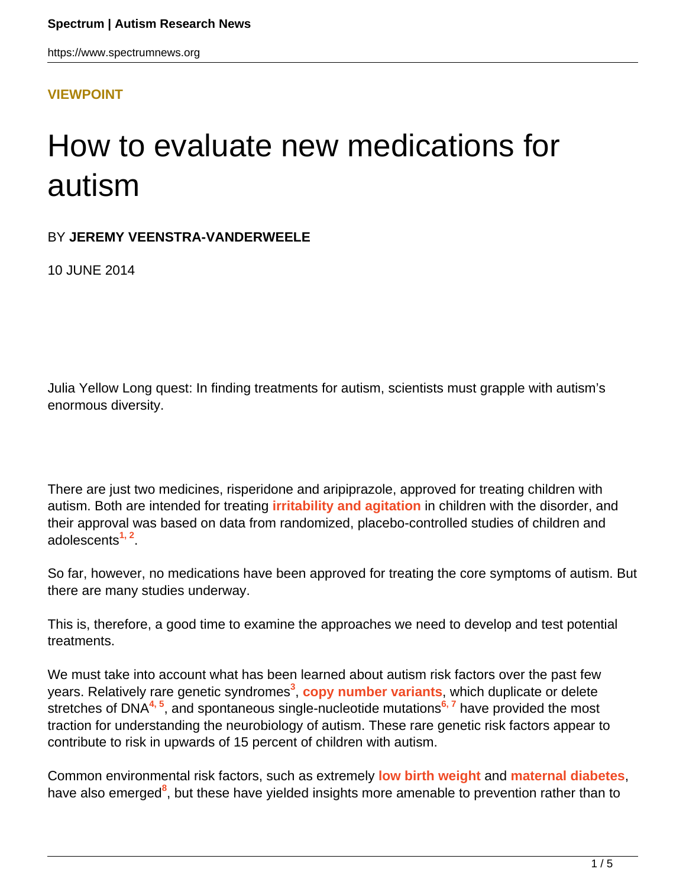**[VIEWPOINT](HTTPS://WWW.SPECTRUMNEWS.ORG/OPINION/VIEWPOINT/)**

# How to evaluate new medications for autism

#### BY **JEREMY VEENSTRA-VANDERWEELE**

10 JUNE 2014

Julia Yellow Long quest: In finding treatments for autism, scientists must grapple with autism's enormous diversity.

There are just two medicines, risperidone and aripiprazole, approved for treating children with autism. Both are intended for treating **[irritability and agitation](https://www.spectrumnews.org/news/2014/risperidone-use-in-children-with-autism-carries-heavy-risks)** in children with the disorder, and their approval was based on data from randomized, placebo-controlled studies of children and adolescents**1, 2** .

So far, however, no medications have been approved for treating the core symptoms of autism. But there are many studies underway.

This is, therefore, a good time to examine the approaches we need to develop and test potential treatments.

We must take into account what has been learned about autism risk factors over the past few years. Relatively rare genetic syndromes**<sup>3</sup>** , **[copy number variants](https://www.spectrumnews.org/wiki/copy-number-variation)**, which duplicate or delete stretches of DNA**4, 5**, and spontaneous single-nucleotide mutations**6, 7** have provided the most traction for understanding the neurobiology of autism. These rare genetic risk factors appear to contribute to risk in upwards of 15 percent of children with autism.

Common environmental risk factors, such as extremely **[low birth weight](https://www.spectrumnews.org/in-brief/2012/clinical-research-twin-study-links-low-birth-weight-to-autism)** and **[maternal diabetes](https://www.spectrumnews.org/blog/2013/diabetic-jeopardy)**, have also emerged<sup>8</sup>, but these have yielded insights more amenable to prevention rather than to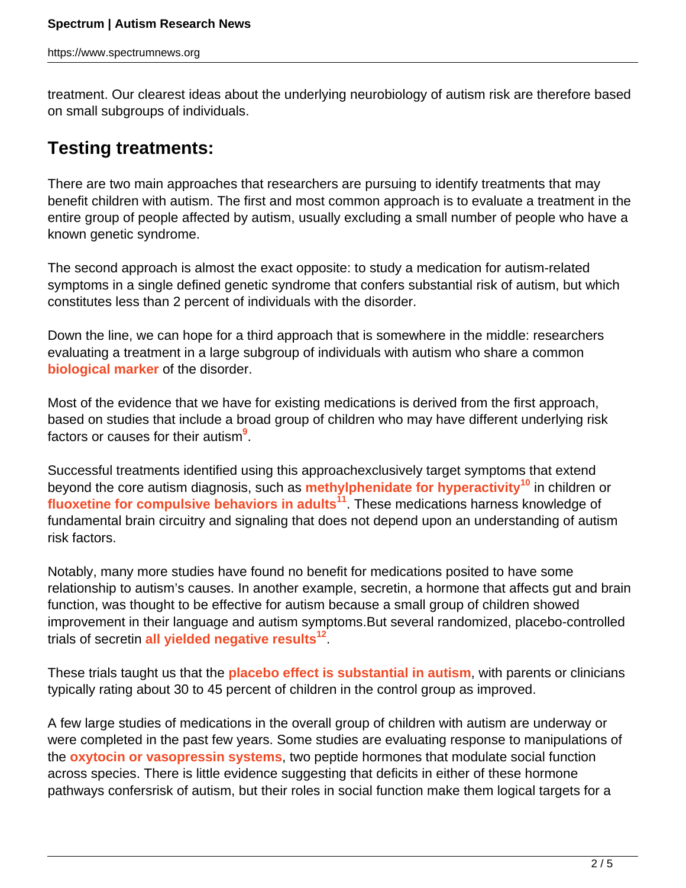treatment. Our clearest ideas about the underlying neurobiology of autism risk are therefore based on small subgroups of individuals.

### **Testing treatments:**

There are two main approaches that researchers are pursuing to identify treatments that may benefit children with autism. The first and most common approach is to evaluate a treatment in the entire group of people affected by autism, usually excluding a small number of people who have a known genetic syndrome.

The second approach is almost the exact opposite: to study a medication for autism-related symptoms in a single defined genetic syndrome that confers substantial risk of autism, but which constitutes less than 2 percent of individuals with the disorder.

Down the line, we can hope for a third approach that is somewhere in the middle: researchers evaluating a treatment in a large subgroup of individuals with autism who share a common **[biological marker](https://www.spectrumnews.org/workshop-reports/2011/workshop-report-biomarkers-for-autism-research)** of the disorder.

Most of the evidence that we have for existing medications is derived from the first approach, based on studies that include a broad group of children who may have different underlying risk factors or causes for their autism**<sup>9</sup>** .

Successful treatments identified using this approachexclusively target symptoms that extend beyond the core autism diagnosis, such as **[methylphenidate for hyperactivity](https://www.spectrumnews.org/blog/2013/ritalin-reaction)<sup>10</sup>** in children or **[fluoxetine for compulsive behaviors in adults](https://www.spectrumnews.org/in-brief/2012/clinical-research-prozac-may-help-adults-with-autism)<sup>11</sup>**. These medications harness knowledge of fundamental brain circuitry and signaling that does not depend upon an understanding of autism risk factors.

Notably, many more studies have found no benefit for medications posited to have some relationship to autism's causes. In another example, secretin, a hormone that affects gut and brain function, was thought to be effective for autism because a small group of children showed improvement in their language and autism symptoms.But several randomized, placebo-controlled trials of secretin **[all yielded negative results](https://www.spectrumnews.org/news/2011/analysis-finds-weak-evidence-for-most-autism-treatments)<sup>12</sup>** .

These trials taught us that the **[placebo effect is substantial in autism](https://www.spectrumnews.org/blog/2011/mind-games)**, with parents or clinicians typically rating about 30 to 45 percent of children in the control group as improved.

A few large studies of medications in the overall group of children with autism are underway or were completed in the past few years. Some studies are evaluating response to manipulations of the **[oxytocin or vasopressin systems](https://www.spectrumnews.org/workshop-reports/2011/workshop-report-oxytocin-and-autism)**, two peptide hormones that modulate social function across species. There is little evidence suggesting that deficits in either of these hormone pathways confersrisk of autism, but their roles in social function make them logical targets for a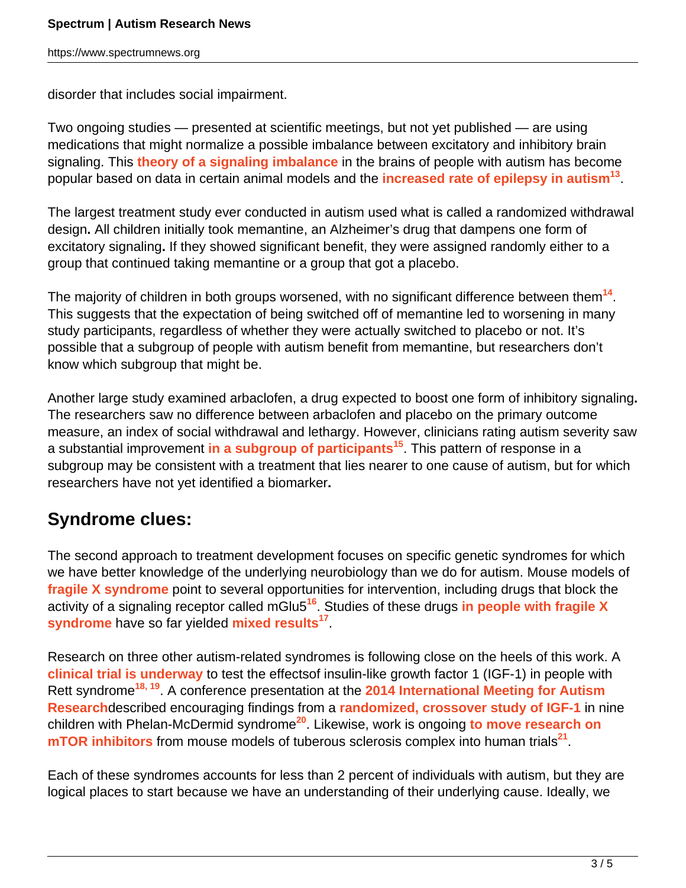disorder that includes social impairment.

Two ongoing studies — presented at scientific meetings, but not yet published — are using medications that might normalize a possible imbalance between excitatory and inhibitory brain signaling. This **[theory of a signaling imbalance](https://www.spectrumnews.org/classic-paper-reviews/2013/the-2003-paper-proposing-signaling-imbalance-in-autism)** in the brains of people with autism has become popular based on data in certain animal models and the **[increased rate of epilepsy in autism](https://www.spectrumnews.org/news/2011/scientists-probe-puzzling-overlap-of-epilepsy-and-autism)<sup>13</sup>** .

The largest treatment study ever conducted in autism used what is called a randomized withdrawal design**.** All children initially took memantine, an Alzheimer's drug that dampens one form of excitatory signaling**.** If they showed significant benefit, they were assigned randomly either to a group that continued taking memantine or a group that got a placebo.

The majority of children in both groups worsened, with no significant difference between them**<sup>14</sup>** . This suggests that the expectation of being switched off of memantine led to worsening in many study participants, regardless of whether they were actually switched to placebo or not. It's possible that a subgroup of people with autism benefit from memantine, but researchers don't know which subgroup that might be.

Another large study examined arbaclofen, a drug expected to boost one form of inhibitory signaling**.** The researchers saw no difference between arbaclofen and placebo on the primary outcome measure, an index of social withdrawal and lethargy. However, clinicians rating autism severity saw a substantial improvement **[in a subgroup of participants](https://www.spectrumnews.org/blog/2013/seaside-petition)<sup>15</sup>**. This pattern of response in a subgroup may be consistent with a treatment that lies nearer to one cause of autism, but for which researchers have not yet identified a biomarker**.**

## **Syndrome clues:**

The second approach to treatment development focuses on specific genetic syndromes for which we have better knowledge of the underlying neurobiology than we do for autism. Mouse models of **[fragile X syndrome](http://www.spectrumnews.org/wiki/fragile-x)** point to several opportunities for intervention, including drugs that block the activity of a signaling receptor called mGlu5**<sup>16</sup>**. Studies of these drugs **[in people with fragile X](https://www.spectrumnews.org/viewpoint/2011/drug-trials-for-fragile-x-syndrome-lead-the-way-for-autism-therapies) [syndrome](https://www.spectrumnews.org/viewpoint/2011/drug-trials-for-fragile-x-syndrome-lead-the-way-for-autism-therapies)** have so far yielded **[mixed results](http://www.fraxa.org/novartis-discontinues-development-mavoglurant-afq056-fragile-x-syndrome/)<sup>17</sup>** .

Research on three other autism-related syndromes is following close on the heels of this work. A **[clinical trial is underway](https://www.spectrumnews.org/conference-news/2008/society-for-neuroscience-2008/clinical-trial-planned-for-rett-syndrome-treatment)** to test the effectsof insulin-like growth factor 1 (IGF-1) in people with Rett syndrome**18, 19**. A conference presentation at the **[2014 International Meeting for Autism](https://www.spectrumnews.org/conference-news/2014/international-meeting-for-autism-research-2014) [Research](https://www.spectrumnews.org/conference-news/2014/international-meeting-for-autism-research-2014)**described encouraging findings from a **[randomized, crossover study of IGF-1](https://www.spectrumnews.org/blog/2012/growth-factor)** in nine children with Phelan-McDermid syndrome**<sup>20</sup>**. Likewise, work is ongoing **[to move research on](https://www.spectrumnews.org/viewpoint/2012/insights-for-autism-from-tuberous-sclerosis-complex) [mTOR inhibitors](https://www.spectrumnews.org/viewpoint/2012/insights-for-autism-from-tuberous-sclerosis-complex)** from mouse models of tuberous sclerosis complex into human trials**<sup>21</sup>** .

Each of these syndromes accounts for less than 2 percent of individuals with autism, but they are logical places to start because we have an understanding of their underlying cause. Ideally, we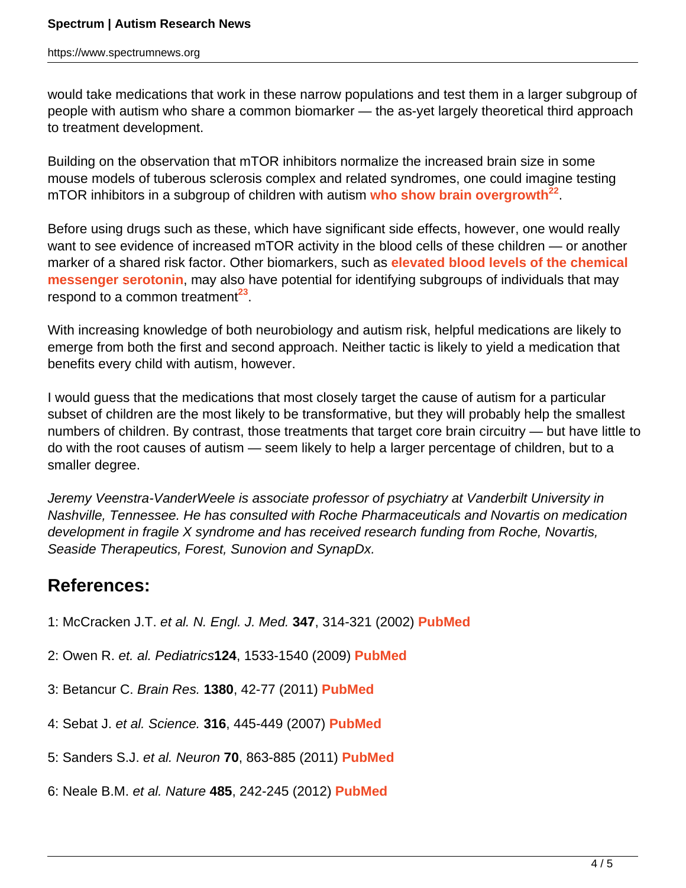would take medications that work in these narrow populations and test them in a larger subgroup of people with autism who share a common biomarker — the as-yet largely theoretical third approach to treatment development.

Building on the observation that mTOR inhibitors normalize the increased brain size in some mouse models of tuberous sclerosis complex and related syndromes, one could imagine testing mTOR inhibitors in a subgroup of children with autism **[who show brain overgrowth](https://www.spectrumnews.org/wiki/macrocephaly)<sup>22</sup>** .

Before using drugs such as these, which have significant side effects, however, one would really want to see evidence of increased mTOR activity in the blood cells of these children — or another marker of a shared risk factor. Other biomarkers, such as **[elevated blood levels of the chemical](https://www.spectrumnews.org/news/2008/research-clarifies-serotonins-link-to-autism) [messenger serotonin](https://www.spectrumnews.org/news/2008/research-clarifies-serotonins-link-to-autism)**, may also have potential for identifying subgroups of individuals that may respond to a common treatment<sup>23</sup>.

With increasing knowledge of both neurobiology and autism risk, helpful medications are likely to emerge from both the first and second approach. Neither tactic is likely to yield a medication that benefits every child with autism, however.

I would guess that the medications that most closely target the cause of autism for a particular subset of children are the most likely to be transformative, but they will probably help the smallest numbers of children. By contrast, those treatments that target core brain circuitry — but have little to do with the root causes of autism — seem likely to help a larger percentage of children, but to a smaller degree.

Jeremy Veenstra-VanderWeele is associate professor of psychiatry at Vanderbilt University in Nashville, Tennessee. He has consulted with Roche Pharmaceuticals and Novartis on medication development in fragile X syndrome and has received research funding from Roche, Novartis, Seaside Therapeutics, Forest, Sunovion and SynapDx.

#### **References:**

- 1: McCracken J.T. et al. N. Engl. J. Med. **347**, 314-321 (2002) **[PubMed](http://www.ncbi.nlm.nih.gov/pubmed/12151468)**
- 2: Owen R. et. al. Pediatrics**124**, 1533-1540 (2009) **[PubMed](http://www.ncbi.nlm.nih.gov/pubmed/19948625)**
- 3: Betancur C. Brain Res. **1380**, 42-77 (2011) **[PubMed](http://www.ncbi.nlm.nih.gov/pubmed/21129364)**
- 4: Sebat J. et al. Science. **316**, 445-449 (2007) **[PubMed](http://www.ncbi.nlm.nih.gov/pubmed/17363630)**
- 5: Sanders S.J. et al. Neuron **70**, 863-885 (2011) **[PubMed](http://www.ncbi.nlm.nih.gov/pubmed/21658581)**
- 6: Neale B.M. et al. Nature **485**, 242-245 (2012) **[PubMed](http://www.ncbi.nlm.nih.gov/pubmed/22495311)**